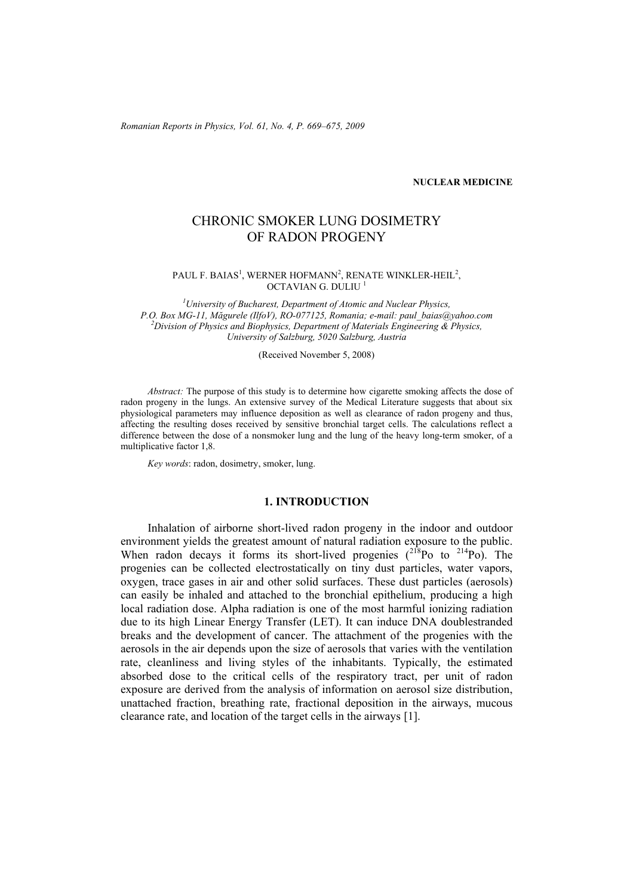*Romanian Reports in Physics, Vol. 61, No. 4, P. 669–675, 2009*

#### **NUCLEAR MEDICINE**

# CHRONIC SMOKER LUNG DOSIMETRY OF RADON PROGENY

#### PAUL F. BAIAS<sup>1</sup>, WERNER HOFMANN<sup>2</sup>, RENATE WINKLER-HEIL<sup>2</sup>, OCTAVIAN G. DULIU <sup>1</sup>

*1 University of Bucharest, Department of Atomic and Nuclear Physics, P.O. Box MG-11, Măgurele (IlfoV), RO-077125, Romania; e-mail: paul\_baias@yahoo.com 2 Division of Physics and Biophysics, Department of Materials Engineering & Physics, University of Salzburg, 5020 Salzburg, Austria* 

(Received November 5, 2008)

*Abstract:* The purpose of this study is to determine how cigarette smoking affects the dose of radon progeny in the lungs. An extensive survey of the Medical Literature suggests that about six physiological parameters may influence deposition as well as clearance of radon progeny and thus, affecting the resulting doses received by sensitive bronchial target cells. The calculations reflect a difference between the dose of a nonsmoker lung and the lung of the heavy long-term smoker, of a multiplicative factor 1,8.

*Key words*: radon, dosimetry, smoker, lung.

## **1. INTRODUCTION**

Inhalation of airborne short-lived radon progeny in the indoor and outdoor environment yields the greatest amount of natural radiation exposure to the public. When radon decays it forms its short-lived progenies  $(^{218}Po$  to  $^{214}Po)$ . The progenies can be collected electrostatically on tiny dust particles, water vapors, oxygen, trace gases in air and other solid surfaces. These dust particles (aerosols) can easily be inhaled and attached to the bronchial epithelium, producing a high local radiation dose. Alpha radiation is one of the most harmful ionizing radiation due to its high Linear Energy Transfer (LET). It can induce DNA doublestranded breaks and the development of cancer. The attachment of the progenies with the aerosols in the air depends upon the size of aerosols that varies with the ventilation rate, cleanliness and living styles of the inhabitants. Typically, the estimated absorbed dose to the critical cells of the respiratory tract, per unit of radon exposure are derived from the analysis of information on aerosol size distribution, unattached fraction, breathing rate, fractional deposition in the airways, mucous clearance rate, and location of the target cells in the airways [1].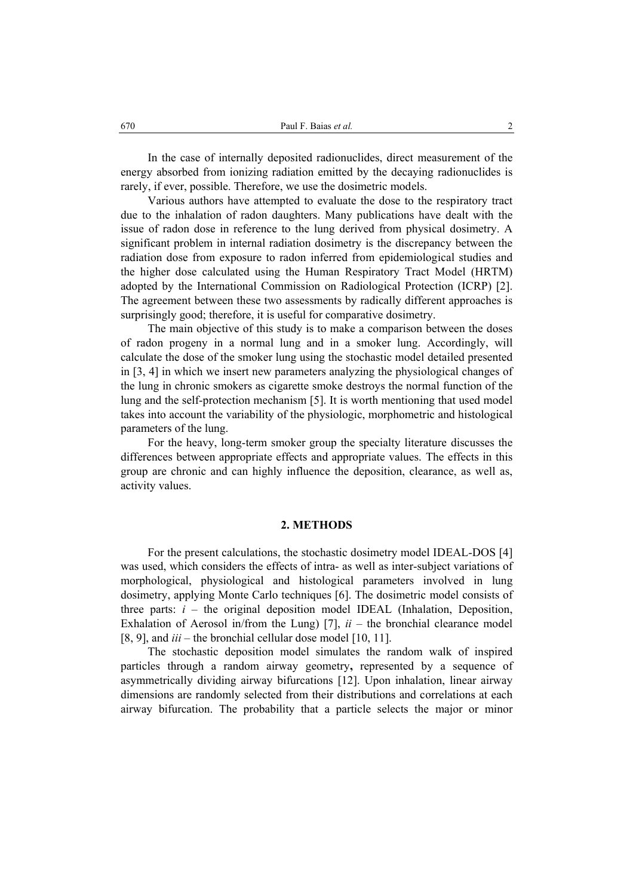In the case of internally deposited radionuclides, direct measurement of the energy absorbed from ionizing radiation emitted by the decaying radionuclides is rarely, if ever, possible. Therefore, we use the dosimetric models.

Various authors have attempted to evaluate the dose to the respiratory tract due to the inhalation of radon daughters. Many publications have dealt with the issue of radon dose in reference to the lung derived from physical dosimetry. A significant problem in internal radiation dosimetry is the discrepancy between the radiation dose from exposure to radon inferred from epidemiological studies and the higher dose calculated using the Human Respiratory Tract Model (HRTM) adopted by the International Commission on Radiological Protection (ICRP) [2]. The agreement between these two assessments by radically different approaches is surprisingly good; therefore, it is useful for comparative dosimetry.

The main objective of this study is to make a comparison between the doses of radon progeny in a normal lung and in a smoker lung. Accordingly, will calculate the dose of the smoker lung using the stochastic model detailed presented in [3, 4] in which we insert new parameters analyzing the physiological changes of the lung in chronic smokers as cigarette smoke destroys the normal function of the lung and the self-protection mechanism [5]. It is worth mentioning that used model takes into account the variability of the physiologic, morphometric and histological parameters of the lung.

For the heavy, long-term smoker group the specialty literature discusses the differences between appropriate effects and appropriate values. The effects in this group are chronic and can highly influence the deposition, clearance, as well as, activity values.

### **2. METHODS**

For the present calculations, the stochastic dosimetry model IDEAL-DOS [4] was used, which considers the effects of intra- as well as inter-subject variations of morphological, physiological and histological parameters involved in lung dosimetry, applying Monte Carlo techniques [6]. The dosimetric model consists of three parts:  $i$  – the original deposition model IDEAL (Inhalation, Deposition, Exhalation of Aerosol in/from the Lung) [7],  $ii -$  the bronchial clearance model [8, 9], and *iii* – the bronchial cellular dose model [10, 11].

The stochastic deposition model simulates the random walk of inspired particles through a random airway geometry**,** represented by a sequence of asymmetrically dividing airway bifurcations [12]. Upon inhalation, linear airway dimensions are randomly selected from their distributions and correlations at each airway bifurcation. The probability that a particle selects the major or minor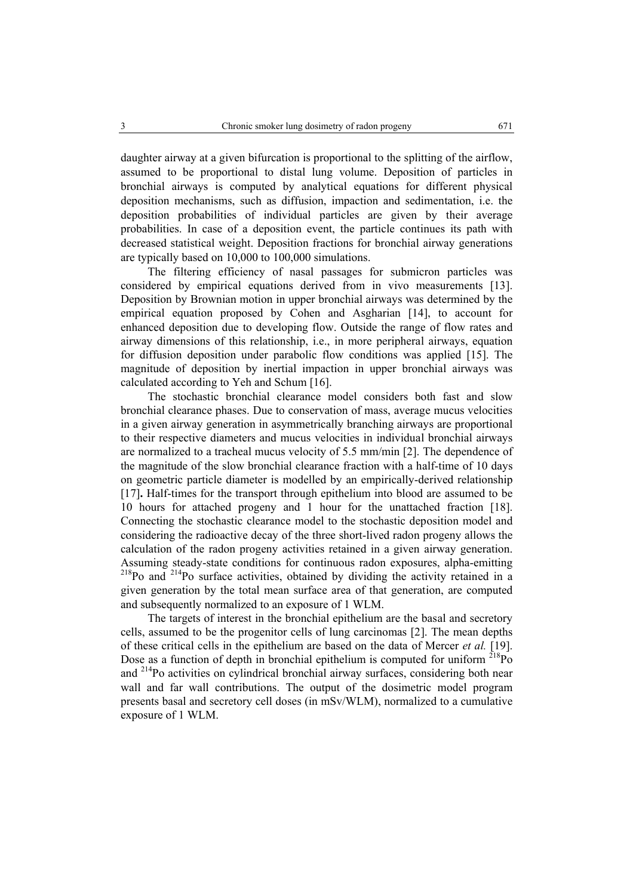daughter airway at a given bifurcation is proportional to the splitting of the airflow, assumed to be proportional to distal lung volume. Deposition of particles in bronchial airways is computed by analytical equations for different physical deposition mechanisms, such as diffusion, impaction and sedimentation, i.e. the deposition probabilities of individual particles are given by their average probabilities. In case of a deposition event, the particle continues its path with decreased statistical weight. Deposition fractions for bronchial airway generations are typically based on 10,000 to 100,000 simulations.

The filtering efficiency of nasal passages for submicron particles was considered by empirical equations derived from in vivo measurements [13]. Deposition by Brownian motion in upper bronchial airways was determined by the empirical equation proposed by Cohen and Asgharian [14], to account for enhanced deposition due to developing flow. Outside the range of flow rates and airway dimensions of this relationship, i.e., in more peripheral airways, equation for diffusion deposition under parabolic flow conditions was applied [15]. The magnitude of deposition by inertial impaction in upper bronchial airways was calculated according to Yeh and Schum [16].

The stochastic bronchial clearance model considers both fast and slow bronchial clearance phases. Due to conservation of mass, average mucus velocities in a given airway generation in asymmetrically branching airways are proportional to their respective diameters and mucus velocities in individual bronchial airways are normalized to a tracheal mucus velocity of 5.5 mm/min [2]. The dependence of the magnitude of the slow bronchial clearance fraction with a half-time of 10 days on geometric particle diameter is modelled by an empirically-derived relationship [17]**.** Half-times for the transport through epithelium into blood are assumed to be 10 hours for attached progeny and 1 hour for the unattached fraction [18]. Connecting the stochastic clearance model to the stochastic deposition model and considering the radioactive decay of the three short-lived radon progeny allows the calculation of the radon progeny activities retained in a given airway generation. Assuming steady-state conditions for continuous radon exposures, alpha-emitting  $2^{18}$ Po and  $2^{14}$ Po surface activities, obtained by dividing the activity retained in a given generation by the total mean surface area of that generation, are computed and subsequently normalized to an exposure of 1 WLM.

The targets of interest in the bronchial epithelium are the basal and secretory cells, assumed to be the progenitor cells of lung carcinomas [2]. The mean depths of these critical cells in the epithelium are based on the data of Mercer *et al.* [19]. Dose as a function of depth in bronchial epithelium is computed for uniform  $^{218}Po$ and 214Po activities on cylindrical bronchial airway surfaces, considering both near wall and far wall contributions. The output of the dosimetric model program presents basal and secretory cell doses (in mSv/WLM), normalized to a cumulative exposure of 1 WLM.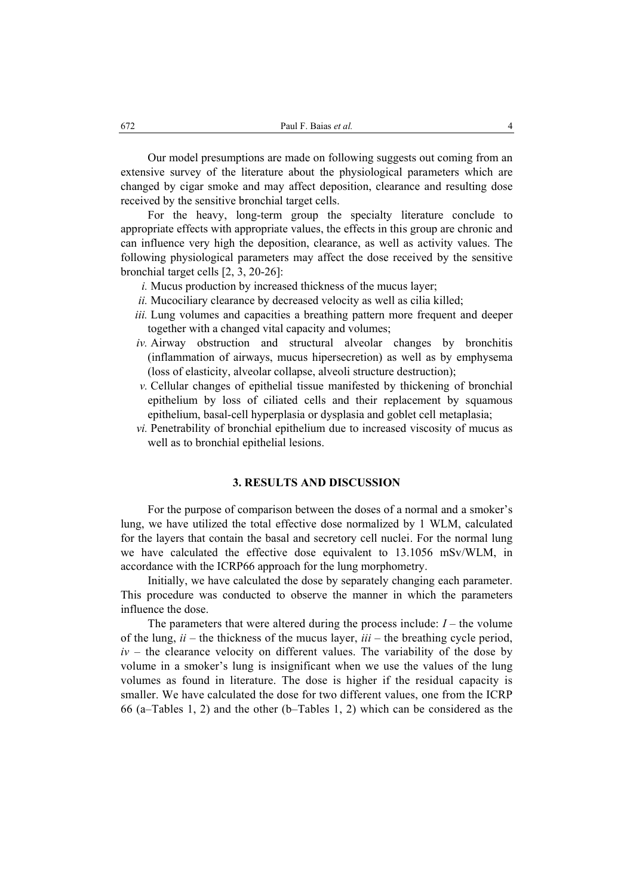Our model presumptions are made on following suggests out coming from an extensive survey of the literature about the physiological parameters which are changed by cigar smoke and may affect deposition, clearance and resulting dose received by the sensitive bronchial target cells.

For the heavy, long-term group the specialty literature conclude to appropriate effects with appropriate values, the effects in this group are chronic and can influence very high the deposition, clearance, as well as activity values. The following physiological parameters may affect the dose received by the sensitive bronchial target cells [2, 3, 20-26]:

- *i.* Mucus production by increased thickness of the mucus layer;
- *ii.* Mucociliary clearance by decreased velocity as well as cilia killed;
- *iii.* Lung volumes and capacities a breathing pattern more frequent and deeper together with a changed vital capacity and volumes;
- *iv.* Airway obstruction and structural alveolar changes by bronchitis (inflammation of airways, mucus hipersecretion) as well as by emphysema (loss of elasticity, alveolar collapse, alveoli structure destruction);
- *v.* Cellular changes of epithelial tissue manifested by thickening of bronchial epithelium by loss of ciliated cells and their replacement by squamous epithelium, basal-cell hyperplasia or dysplasia and goblet cell metaplasia;
- *vi.* Penetrability of bronchial epithelium due to increased viscosity of mucus as well as to bronchial epithelial lesions.

# **3. RESULTS AND DISCUSSION**

For the purpose of comparison between the doses of a normal and a smoker's lung, we have utilized the total effective dose normalized by 1 WLM, calculated for the layers that contain the basal and secretory cell nuclei. For the normal lung we have calculated the effective dose equivalent to 13.1056 mSv/WLM, in accordance with the ICRP66 approach for the lung morphometry.

Initially, we have calculated the dose by separately changing each parameter. This procedure was conducted to observe the manner in which the parameters influence the dose.

The parameters that were altered during the process include: *I –* the volume of the lung, *ii* – the thickness of the mucus layer, *iii* – the breathing cycle period,  $iv$  – the clearance velocity on different values. The variability of the dose by volume in a smoker's lung is insignificant when we use the values of the lung volumes as found in literature. The dose is higher if the residual capacity is smaller. We have calculated the dose for two different values, one from the ICRP 66 (a–Tables 1, 2) and the other (b–Tables 1, 2) which can be considered as the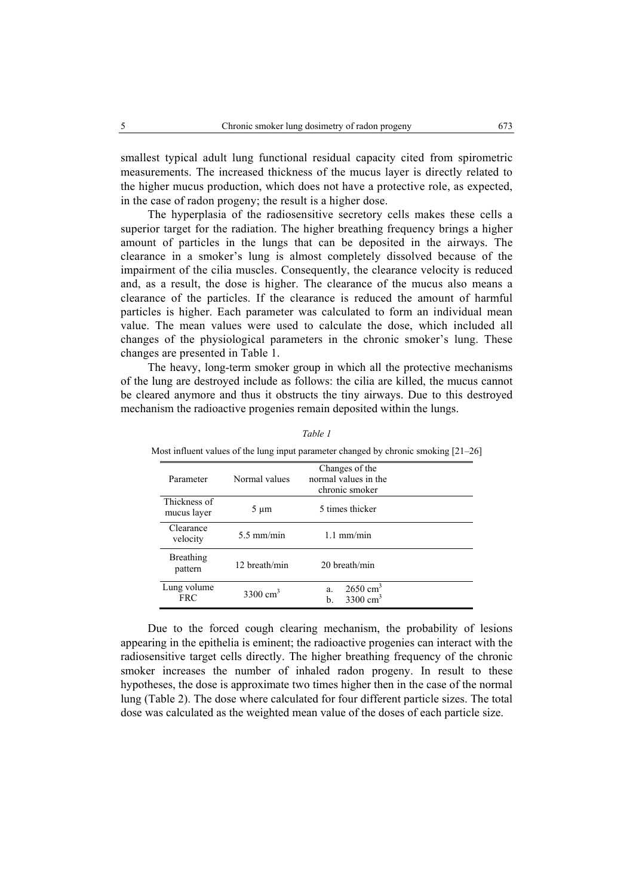smallest typical adult lung functional residual capacity cited from spirometric measurements. The increased thickness of the mucus layer is directly related to the higher mucus production, which does not have a protective role, as expected, in the case of radon progeny; the result is a higher dose.

The hyperplasia of the radiosensitive secretory cells makes these cells a superior target for the radiation. The higher breathing frequency brings a higher amount of particles in the lungs that can be deposited in the airways. The clearance in a smoker's lung is almost completely dissolved because of the impairment of the cilia muscles. Consequently, the clearance velocity is reduced and, as a result, the dose is higher. The clearance of the mucus also means a clearance of the particles. If the clearance is reduced the amount of harmful particles is higher. Each parameter was calculated to form an individual mean value. The mean values were used to calculate the dose, which included all changes of the physiological parameters in the chronic smoker's lung. These changes are presented in Table 1.

The heavy, long-term smoker group in which all the protective mechanisms of the lung are destroyed include as follows: the cilia are killed, the mucus cannot be cleared anymore and thus it obstructs the tiny airways. Due to this destroyed mechanism the radioactive progenies remain deposited within the lungs.

| Parameter                   | Normal values | Changes of the<br>normal values in the<br>chronic smoker |  |
|-----------------------------|---------------|----------------------------------------------------------|--|
| Thickness of<br>mucus layer | $5 \mu m$     | 5 times thicker                                          |  |
| Clearance<br>velocity       | $5.5$ mm/min  | $1.1 \text{ mm/min}$                                     |  |
| Breathing<br>pattern        | 12 breath/min | 20 breath/min                                            |  |
| Lung volume<br><b>FRC</b>   | 3300 $cm3$    | $2650 \text{ cm}^3$<br>a.<br>3300 $cm3$<br>h             |  |

*Table 1* Most influent values of the lung input parameter changed by chronic smoking [21–26]

Due to the forced cough clearing mechanism, the probability of lesions appearing in the epithelia is eminent; the radioactive progenies can interact with the radiosensitive target cells directly. The higher breathing frequency of the chronic smoker increases the number of inhaled radon progeny. In result to these hypotheses, the dose is approximate two times higher then in the case of the normal lung (Table 2). The dose where calculated for four different particle sizes. The total dose was calculated as the weighted mean value of the doses of each particle size.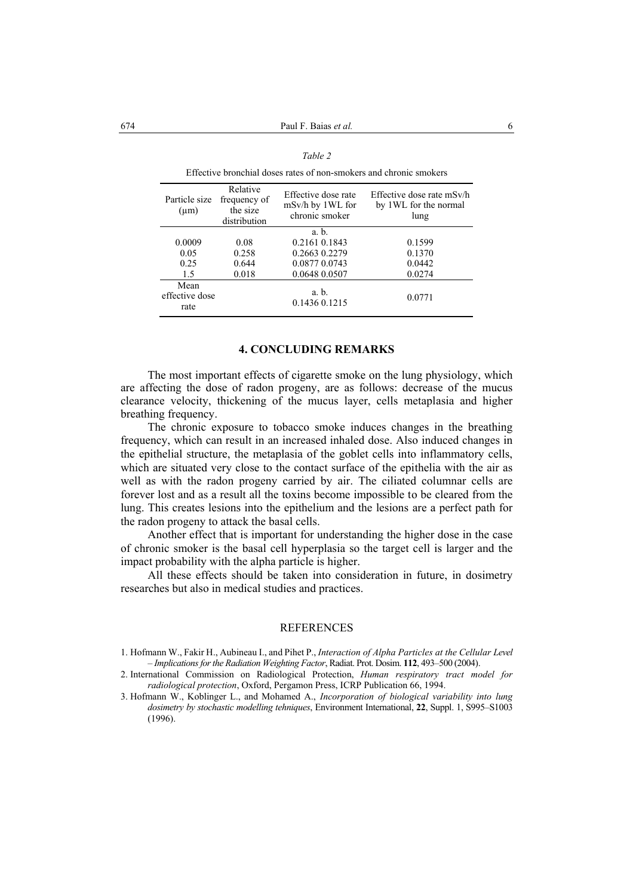| Effective bronchial doses rates of non-smokers and chronic smokers |                                                      |                                                                           |                                                            |  |
|--------------------------------------------------------------------|------------------------------------------------------|---------------------------------------------------------------------------|------------------------------------------------------------|--|
| Particle size<br>$(\mu m)$                                         | Relative<br>frequency of<br>the size<br>distribution | Effective dose rate<br>mSv/h by 1WL for<br>chronic smoker                 | Effective dose rate mSv/h<br>by 1WL for the normal<br>lung |  |
| 0.0009<br>0.05<br>0.25<br>1.5                                      | 0.08<br>0.258<br>0.644<br>0.018                      | a. b.<br>0.2161 0.1843<br>0.2663 0.2279<br>0.0877 0.0743<br>0.0648 0.0507 | 0.1599<br>0.1370<br>0.0442<br>0.0274                       |  |
| Mean<br>effective dose<br>rate                                     |                                                      | a. b.<br>0.1436 0.1215                                                    | 0.0771                                                     |  |

#### **4. CONCLUDING REMARKS**

The most important effects of cigarette smoke on the lung physiology, which are affecting the dose of radon progeny, are as follows: decrease of the mucus clearance velocity, thickening of the mucus layer, cells metaplasia and higher breathing frequency.

The chronic exposure to tobacco smoke induces changes in the breathing frequency, which can result in an increased inhaled dose. Also induced changes in the epithelial structure, the metaplasia of the goblet cells into inflammatory cells, which are situated very close to the contact surface of the epithelia with the air as well as with the radon progeny carried by air. The ciliated columnar cells are forever lost and as a result all the toxins become impossible to be cleared from the lung. This creates lesions into the epithelium and the lesions are a perfect path for the radon progeny to attack the basal cells.

Another effect that is important for understanding the higher dose in the case of chronic smoker is the basal cell hyperplasia so the target cell is larger and the impact probability with the alpha particle is higher.

All these effects should be taken into consideration in future, in dosimetry researches but also in medical studies and practices.

#### **REFERENCES**

- 1. Hofmann W., Fakir H., Aubineau I., and Pihet P., *Interaction of Alpha Particles at the Cellular Level – Implications for the Radiation Weighting Factor*, Radiat. Prot. Dosim. **112**, 493–500 (2004).
- 2. International Commission on Radiological Protection, *Human respiratory tract model for radiological protection*, Oxford, Pergamon Press, ICRP Publication 66, 1994.
- 3. Hofmann W., Koblinger L., and Mohamed A., *Incorporation of biological variability into lung dosimetry by stochastic modelling tehniques*, Environment International, **22**, Suppl. 1, S995–S1003 (1996).